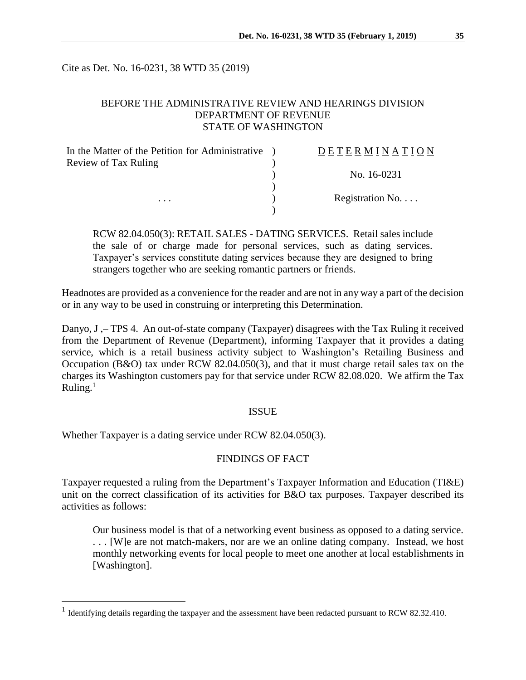Cite as Det. No. 16-0231, 38 WTD 35 (2019)

# BEFORE THE ADMINISTRATIVE REVIEW AND HEARINGS DIVISION DEPARTMENT OF REVENUE STATE OF WASHINGTON

| In the Matter of the Petition for Administrative | DETERMINATION   |
|--------------------------------------------------|-----------------|
| Review of Tax Ruling                             |                 |
|                                                  | No. 16-0231     |
|                                                  |                 |
| $\cdots$                                         | Registration No |
|                                                  |                 |

RCW 82.04.050(3): RETAIL SALES - DATING SERVICES. Retail sales include the sale of or charge made for personal services, such as dating services. Taxpayer's services constitute dating services because they are designed to bring strangers together who are seeking romantic partners or friends.

Headnotes are provided as a convenience for the reader and are not in any way a part of the decision or in any way to be used in construing or interpreting this Determination.

Danyo, J ,– TPS 4. An out-of-state company (Taxpayer) disagrees with the Tax Ruling it received from the Department of Revenue (Department), informing Taxpayer that it provides a dating service, which is a retail business activity subject to Washington's Retailing Business and Occupation (B&O) tax under RCW 82.04.050(3), and that it must charge retail sales tax on the charges its Washington customers pay for that service under RCW 82.08.020. We affirm the Tax Ruling. $<sup>1</sup>$ </sup>

#### ISSUE

Whether Taxpayer is a dating service under RCW 82.04.050(3).

 $\overline{a}$ 

# FINDINGS OF FACT

Taxpayer requested a ruling from the Department's Taxpayer Information and Education (TI&E) unit on the correct classification of its activities for B&O tax purposes. Taxpayer described its activities as follows:

Our business model is that of a networking event business as opposed to a dating service. . . . [W]e are not match-makers, nor are we an online dating company. Instead, we host monthly networking events for local people to meet one another at local establishments in [Washington].

<sup>&</sup>lt;sup>1</sup> Identifying details regarding the taxpayer and the assessment have been redacted pursuant to RCW 82.32.410.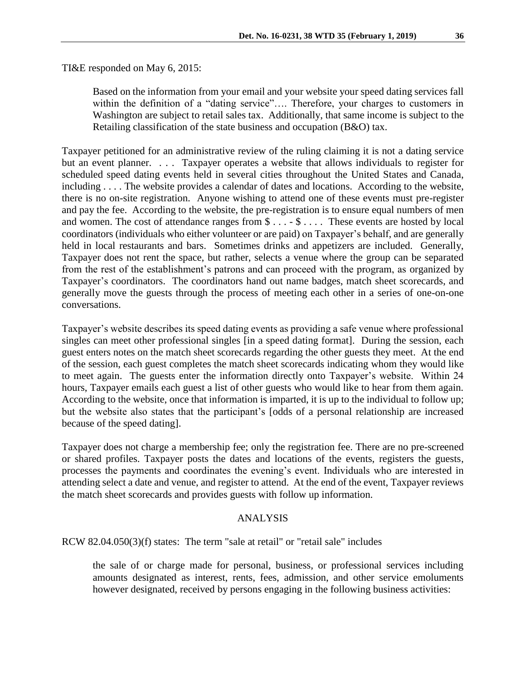TI&E responded on May 6, 2015:

Based on the information from your email and your website your speed dating services fall within the definition of a "dating service".... Therefore, your charges to customers in Washington are subject to retail sales tax. Additionally, that same income is subject to the Retailing classification of the state business and occupation (B&O) tax.

Taxpayer petitioned for an administrative review of the ruling claiming it is not a dating service but an event planner. . . . Taxpayer operates a website that allows individuals to register for scheduled speed dating events held in several cities throughout the United States and Canada, including . . . . The website provides a calendar of dates and locations. According to the website, there is no on-site registration. Anyone wishing to attend one of these events must pre-register and pay the fee. According to the website, the pre-registration is to ensure equal numbers of men and women. The cost of attendance ranges from \$ . . . - \$ . . . . These events are hosted by local coordinators (individuals who either volunteer or are paid) on Taxpayer's behalf, and are generally held in local restaurants and bars. Sometimes drinks and appetizers are included. Generally, Taxpayer does not rent the space, but rather, selects a venue where the group can be separated from the rest of the establishment's patrons and can proceed with the program, as organized by Taxpayer's coordinators. The coordinators hand out name badges, match sheet scorecards, and generally move the guests through the process of meeting each other in a series of one-on-one conversations.

Taxpayer's website describes its speed dating events as providing a safe venue where professional singles can meet other professional singles [in a speed dating format]. During the session, each guest enters notes on the match sheet scorecards regarding the other guests they meet. At the end of the session, each guest completes the match sheet scorecards indicating whom they would like to meet again. The guests enter the information directly onto Taxpayer's website. Within 24 hours, Taxpayer emails each guest a list of other guests who would like to hear from them again. According to the website, once that information is imparted, it is up to the individual to follow up; but the website also states that the participant's [odds of a personal relationship are increased because of the speed dating].

Taxpayer does not charge a membership fee; only the registration fee. There are no pre-screened or shared profiles. Taxpayer posts the dates and locations of the events, registers the guests, processes the payments and coordinates the evening's event. Individuals who are interested in attending select a date and venue, and register to attend. At the end of the event, Taxpayer reviews the match sheet scorecards and provides guests with follow up information.

## ANALYSIS

RCW 82.04.050(3)(f) states: The term "sale at retail" or "retail sale" includes

the sale of or charge made for personal, business, or professional services including amounts designated as interest, rents, fees, admission, and other service emoluments however designated, received by persons engaging in the following business activities: